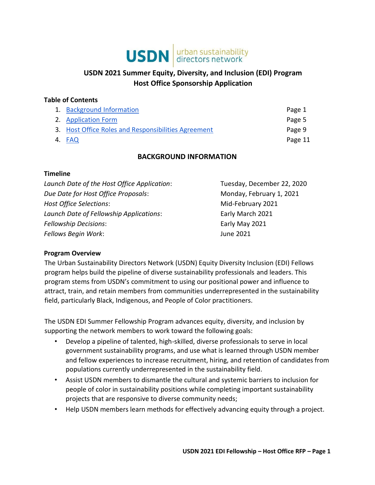# **USDN** directors network

# **USDN 2021 Summer Equity, Diversity, and Inclusion (EDI) Program Host Office Sponsorship Application**

#### **Table of Contents**

| 1. Background Information                           | Page 1  |
|-----------------------------------------------------|---------|
| 2. Application Form                                 | Page 5  |
| 3. Host Office Roles and Responsibilities Agreement | Page 9  |
| 4. FAQ                                              | Page 11 |

## **BACKGROUND INFORMATION**

#### <span id="page-0-0"></span>**Timeline**

| Launch Date of the Host Office Application: | Tuesday, December 22, 2020 |
|---------------------------------------------|----------------------------|
| Due Date for Host Office Proposals:         | Monday, February 1, 2021   |
| <b>Host Office Selections:</b>              | Mid-February 2021          |
| Launch Date of Fellowship Applications:     | Early March 2021           |
| <b>Fellowship Decisions:</b>                | Early May 2021             |
| Fellows Begin Work:                         | June 2021                  |

#### **Program Overview**

The Urban Sustainability Directors Network (USDN) Equity Diversity Inclusion (EDI) Fellows program helps build the pipeline of diverse sustainability professionals and leaders. This program stems from USDN's commitment to using our positional power and influence to attract, train, and retain members from communities underrepresented in the sustainability field, particularly Black, Indigenous, and People of Color practitioners.

The USDN EDI Summer Fellowship Program advances equity, diversity, and inclusion by supporting the network members to work toward the following goals:

- Develop a pipeline of talented, high-skilled, diverse professionals to serve in local government sustainability programs, and use what is learned through USDN member and fellow experiences to increase recruitment, hiring, and retention of candidates from populations currently underrepresented in the sustainability field.
- Assist USDN members to dismantle the cultural and systemic barriers to inclusion for people of color in sustainability positions while completing important sustainability projects that are responsive to diverse community needs;
- Help USDN members learn methods for effectively advancing equity through a project.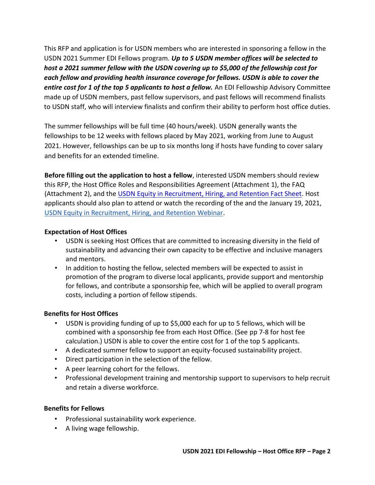This RFP and application is for USDN members who are interested in sponsoring a fellow in the USDN 2021 Summer EDI Fellows program. *Up to 5 USDN member offices will be selected to host a 2021 summer fellow with the USDN covering up to \$5,000 of the fellowship cost for each fellow and providing health insurance coverage for fellows. USDN is able to cover the entire cost for 1 of the top 5 applicants to host a fellow.* An EDI Fellowship Advisory Committee made up of USDN members, past fellow supervisors, and past fellows will recommend finalists to USDN staff, who will interview finalists and confirm their ability to perform host office duties.

The summer fellowships will be full time (40 hours/week). USDN generally wants the fellowships to be 12 weeks with fellows placed by May 2021, working from June to August 2021. However, fellowships can be up to six months long if hosts have funding to cover salary and benefits for an extended timeline.

**Before filling out the application to host a fellow**, interested USDN members should review this RFP, the Host Office Roles and Responsibilities Agreement (Attachment 1), the FAQ (Attachment 2), and the [USDN Equity in Recruitment, Hiring, and Retention Fact Sheet.](https://www.usdn.org/documents/25323) Host applicants should also plan to attend or watch the recording of the and the January 19, 2021, [USDN Equity in Recruitment, Hiring, and Retention Webinar.](https://www.usdn.org/members/events/41285#/)

#### **Expectation of Host Offices**

- USDN is seeking Host Offices that are committed to increasing diversity in the field of sustainability and advancing their own capacity to be effective and inclusive managers and mentors.
- In addition to hosting the fellow, selected members will be expected to assist in promotion of the program to diverse local applicants, provide support and mentorship for fellows, and contribute a sponsorship fee, which will be applied to overall program costs, including a portion of fellow stipends.

#### **Benefits for Host Offices**

- USDN is providing funding of up to \$5,000 each for up to 5 fellows, which will be combined with a sponsorship fee from each Host Office. (See pp 7-8 for host fee calculation.) USDN is able to cover the entire cost for 1 of the top 5 applicants.
- A dedicated summer fellow to support an equity-focused sustainability project.
- Direct participation in the selection of the fellow.
- A peer learning cohort for the fellows.
- Professional development training and mentorship support to supervisors to help recruit and retain a diverse workforce.

#### **Benefits for Fellows**

- Professional sustainability work experience.
- A living wage fellowship.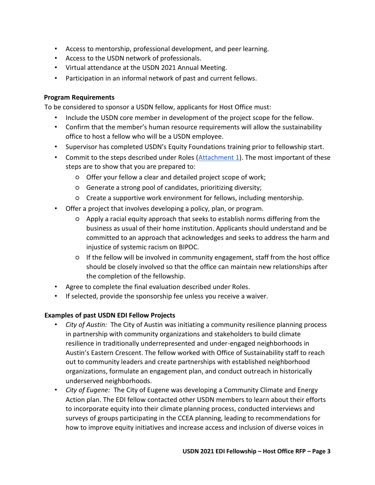- Access to mentorship, professional development, and peer learning.
- Access to the USDN network of professionals.
- Virtual attendance at the USDN 2021 Annual Meeting.
- Participation in an informal network of past and current fellows.

#### **Program Requirements**

To be considered to sponsor a USDN fellow, applicants for Host Office must:

- Include the USDN core member in development of the project scope for the fellow.
- Confirm that the member's human resource requirements will allow the sustainability office to host a fellow who will be a USDN employee.
- Supervisor has completed USDN's Equity Foundations training prior to fellowship start.
- Commit to the steps described under Roles [\(Attachment 1\)](#page-8-0). The most important of these steps are to show that you are prepared to:
	- Offer your fellow a clear and detailed project scope of work;
	- Generate a strong pool of candidates, prioritizing diversity;
	- Create a supportive work environment for fellows, including mentorship.
- Offer a project that involves developing a policy, plan, or program.
	- Apply a racial equity approach that seeks to establish norms differing from the business as usual of their home institution. Applicants should understand and be committed to an approach that acknowledges and seeks to address the harm and injustice of systemic racism on BIPOC.
	- If the fellow will be involved in community engagement, staff from the host office should be closely involved so that the office can maintain new relationships after the completion of the fellowship.
- Agree to complete the final evaluation described under Roles.
- If selected, provide the sponsorship fee unless you receive a waiver.

#### **Examples of past USDN EDI Fellow Projects**

- *City of Austin:* The City of Austin was initiating a community resilience planning process in partnership with community organizations and stakeholders to build climate resilience in traditionally underrepresented and under-engaged neighborhoods in Austin's Eastern Crescent. The fellow worked with Office of Sustainability staff to reach out to community leaders and create partnerships with established neighborhood organizations, formulate an engagement plan, and conduct outreach in historically underserved neighborhoods.
- *City of Eugene:* The City of Eugene was developing a Community Climate and Energy Action plan. The EDI fellow contacted other USDN members to learn about their efforts to incorporate equity into their climate planning process, conducted interviews and surveys of groups participating in the CCEA planning, leading to recommendations for how to improve equity initiatives and increase access and inclusion of diverse voices in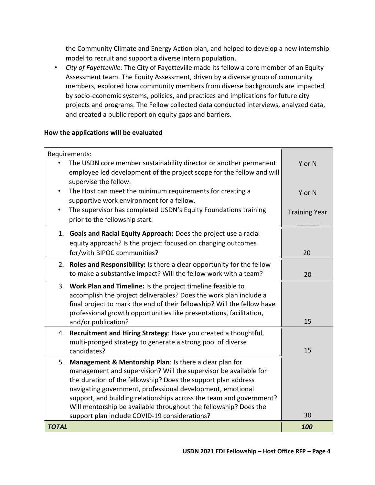the Community Climate and Energy Action plan, and helped to develop a new internship model to recruit and support a diverse intern population.

• *City of Fayetteville:* The City of Fayetteville made its fellow a core member of an Equity Assessment team. The Equity Assessment, driven by a diverse group of community members, explored how community members from diverse backgrounds are impacted by socio-economic systems, policies, and practices and implications for future city projects and programs. The Fellow collected data conducted interviews, analyzed data, and created a public report on equity gaps and barriers.

#### **How the applications will be evaluated**

|              | Requirements:<br>The USDN core member sustainability director or another permanent<br>employee led development of the project scope for the fellow and will<br>supervise the fellow.                                                                                                                                                                                                                                                                   | Y or N               |
|--------------|--------------------------------------------------------------------------------------------------------------------------------------------------------------------------------------------------------------------------------------------------------------------------------------------------------------------------------------------------------------------------------------------------------------------------------------------------------|----------------------|
|              | The Host can meet the minimum requirements for creating a<br>supportive work environment for a fellow.                                                                                                                                                                                                                                                                                                                                                 | Y or N               |
|              | The supervisor has completed USDN's Equity Foundations training<br>prior to the fellowship start.                                                                                                                                                                                                                                                                                                                                                      | <b>Training Year</b> |
|              | 1. Goals and Racial Equity Approach: Does the project use a racial<br>equity approach? Is the project focused on changing outcomes<br>for/with BIPOC communities?                                                                                                                                                                                                                                                                                      | 20                   |
|              | 2. Roles and Responsibility: Is there a clear opportunity for the fellow<br>to make a substantive impact? Will the fellow work with a team?                                                                                                                                                                                                                                                                                                            | 20                   |
|              | 3. Work Plan and Timeline: Is the project timeline feasible to<br>accomplish the project deliverables? Does the work plan include a<br>final project to mark the end of their fellowship? Will the fellow have<br>professional growth opportunities like presentations, facilitation,<br>and/or publication?                                                                                                                                           | 15                   |
| 4.           | Recruitment and Hiring Strategy: Have you created a thoughtful,<br>multi-pronged strategy to generate a strong pool of diverse<br>candidates?                                                                                                                                                                                                                                                                                                          | 15                   |
| 5.           | Management & Mentorship Plan: Is there a clear plan for<br>management and supervision? Will the supervisor be available for<br>the duration of the fellowship? Does the support plan address<br>navigating government, professional development, emotional<br>support, and building relationships across the team and government?<br>Will mentorship be available throughout the fellowship? Does the<br>support plan include COVID-19 considerations? | 30                   |
| <b>TOTAL</b> |                                                                                                                                                                                                                                                                                                                                                                                                                                                        | 100                  |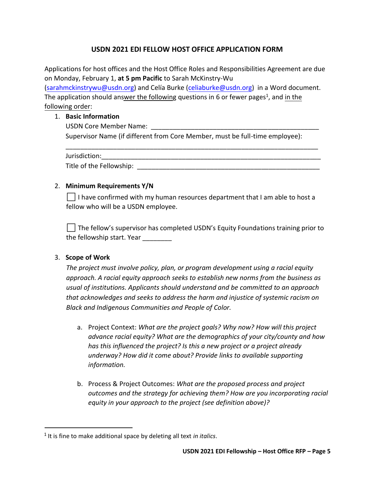## **USDN 2021 EDI FELLOW HOST OFFICE APPLICATION FORM**

<span id="page-4-0"></span>Applications for host offices and the Host Office Roles and Responsibilities Agreement are due on Monday, February 1, **at 5 pm Pacific** to Sarah McKinstry-Wu

[\(sarahmckinstrywu@usdn.org\)](mailto:sarahmckinstrywu@usdn.org) and Celía Burke [\(celiaburke@usdn.org\)](mailto:celiaburke@usdn.org) in a Word document. The application should answer the following questions in 6 or fewer pages<sup>1</sup>, and in the following order:

#### 1. **Basic Information**

USDN Core Member Name: Supervisor Name (if different from Core Member, must be full-time employee):

| Jurisdiction:            |  |
|--------------------------|--|
| Title of the Fellowship: |  |

\_\_\_\_\_\_\_\_\_\_\_\_\_\_\_\_\_\_\_\_\_\_\_\_\_\_\_\_\_\_\_\_\_\_\_\_\_\_\_\_\_\_\_\_\_\_\_\_\_\_\_\_\_\_\_\_\_\_\_\_\_\_\_\_\_\_\_\_\_

#### 2. **Minimum Requirements Y/N**

⬜ I have confirmed with my human resources department that I am able to host a fellow who will be a USDN employee.

⬜ The fellow's supervisor has completed USDN's Equity Foundations training prior to the fellowship start. Year \_\_\_\_\_\_\_\_

## 3. **Scope of Work**

*The project must involve policy, plan, or program development using a racial equity approach. A racial equity approach seeks to establish new norms from the business as usual of institutions. Applicants should understand and be committed to an approach that acknowledges and seeks to address the harm and injustice of systemic racism on Black and Indigenous Communities and People of Color.*

- a. Project Context: *What are the project goals? Why now? How will this project advance racial equity? What are the demographics of your city/county and how has this influenced the project? Is this a new project or a project already underway? How did it come about? Provide links to available supporting information.*
- b. Process & Project Outcomes: *What are the proposed process and project outcomes and the strategy for achieving them? How are you incorporating racial equity in your approach to the project (see definition above)?*

<sup>1</sup> It is fine to make additional space by deleting all text *in italics*.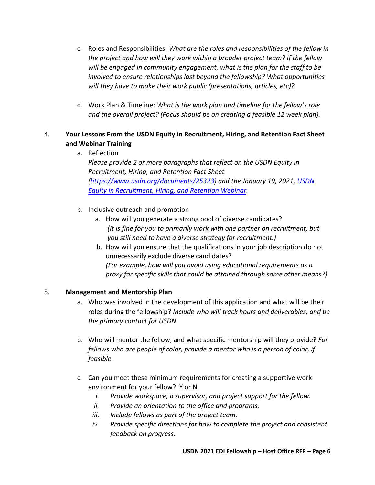- c. Roles and Responsibilities: *What are the roles and responsibilities of the fellow in the project and how will they work within a broader project team? If the fellow will be engaged in community engagement, what is the plan for the staff to be involved to ensure relationships last beyond the fellowship? What opportunities will they have to make their work public (presentations, articles, etc)?*
- d. Work Plan & Timeline: *What is the work plan and timeline for the fellow's role and the overall project? (Focus should be on creating a feasible 12 week plan).*

## 4. **Your Lessons From the USDN Equity in Recruitment, Hiring, and Retention Fact Sheet and Webinar Training**

a. Reflection

*Please provide 2 or more paragraphs that reflect on the USDN Equity in Recruitment, Hiring, and Retention Fact Sheet [\(https://www.usdn.org/documents/25323\)](https://www.usdn.org/documents/25323) and the January 19, 2021[, USDN](https://www.usdn.org/members/events/41285#/) [Equity in Recruitment, Hiring, and Retention Webinar.](https://www.usdn.org/members/events/41285#/)*

- b. Inclusive outreach and promotion
	- a. How will you generate a strong pool of diverse candidates? *(It is fine for you to primarily work with one partner on recruitment, but you still need to have a diverse strategy for recruitment.)*
	- b. How will you ensure that the qualifications in your job description do not unnecessarily exclude diverse candidates? *(For example, how will you avoid using educational requirements as a proxy for specific skills that could be attained through some other means?)*

#### 5. **Management and Mentorship Plan**

- a. Who was involved in the development of this application and what will be their roles during the fellowship? *Include who will track hours and deliverables, and be the primary contact for USDN.*
- b. Who will mentor the fellow, and what specific mentorship will they provide? *For fellows who are people of color, provide a mentor who is a person of color, if feasible.*
- c. Can you meet these minimum requirements for creating a supportive work environment for your fellow? Y or N
	- *i. Provide workspace, a supervisor, and project support for the fellow.*
	- *ii. Provide an orientation to the office and programs.*
	- *iii. Include fellows as part of the project team.*
	- *iv. Provide specific directions for how to complete the project and consistent feedback on progress.*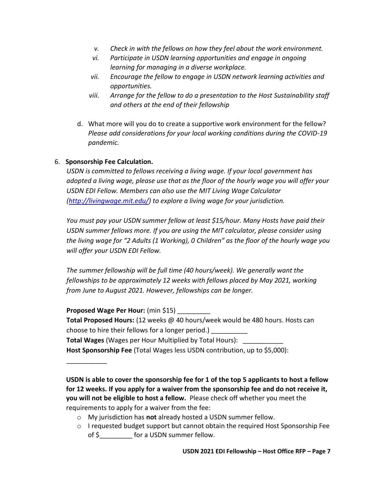- *v. Check in with the fellows on how they feel about the work environment.*
- *vi. Participate in USDN learning opportunities and engage in ongoing learning for managing in a diverse workplace.*
- *vii. Encourage the fellow to engage in USDN network learning activities and opportunities.*
- *viii. Arrange for the fellow to do a presentation to the Host Sustainability staff and others at the end of their fellowship*
- d. What more will you do to create a supportive work environment for the fellow? *Please add considerations for your local working conditions during the COVID-19 pandemic.*

## 6. **Sponsorship Fee Calculation.**

*USDN is committed to fellows receiving a living wage. If your local government has adopted a living wage, please use that as the floor of the hourly wage you will offer your USDN EDI Fellow. Members can also use the MIT Living Wage Calculator [\(http://livingwage.mit.edu/\)](http://livingwage.mit.edu/) to explore a living wage for your jurisdiction.*

*You must pay your USDN summer fellow at least \$15/hour. Many Hosts have paid their USDN summer fellows more. If you are using the MIT calculator, please consider using the living wage for "2 Adults (1 Working), 0 Children" as the floor of the hourly wage you will offer your USDN EDI Fellow.*

*The summer fellowship will be full time (40 hours/week). We generally want the fellowships to be approximately 12 weeks with fellows placed by May 2021, working from June to August 2021. However, fellowships can be longer.* 

**Proposed Wage Per Hour:** (min \$15) \_\_\_\_\_\_\_\_\_

\_\_\_\_\_\_\_\_\_\_\_

**Total Proposed Hours:** (12 weeks @ 40 hours/week would be 480 hours. Hosts can choose to hire their fellows for a longer period.) \_\_\_\_\_\_\_\_\_\_

**Total Wages** (Wages per Hour Multiplied by Total Hours): \_\_\_\_\_\_\_\_\_\_\_

**Host Sponsorship Fee** (Total Wages less USDN contribution, up to \$5,000):

**USDN is able to cover the sponsorship fee for 1 of the top 5 applicants to host a fellow for 12 weeks. If you apply for a waiver from the sponsorship fee and do not receive it, you will not be eligible to host a fellow.** Please check off whether you meet the requirements to apply for a waiver from the fee:

- o My jurisdiction has **not** already hosted a USDN summer fellow.
- o I requested budget support but cannot obtain the required Host Sponsorship Fee of \$ for a USDN summer fellow.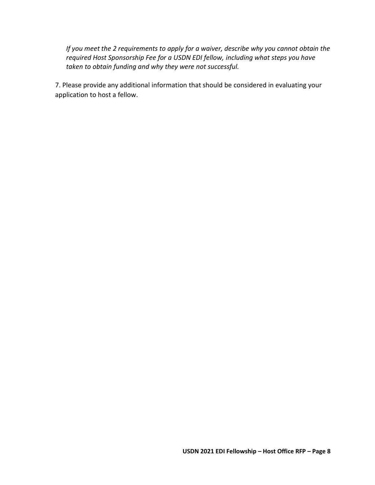*If you meet the 2 requirements to apply for a waiver, describe why you cannot obtain the required Host Sponsorship Fee for a USDN EDI fellow, including what steps you have taken to obtain funding and why they were not successful.* 

7. Please provide any additional information that should be considered in evaluating your application to host a fellow.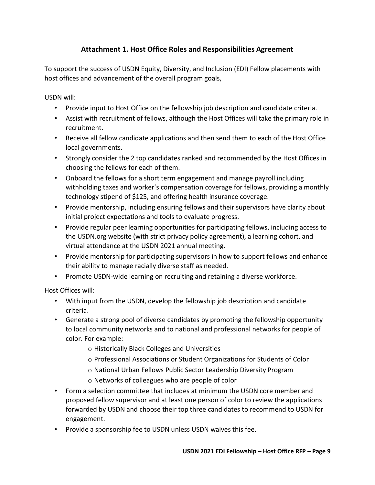# **Attachment 1. Host Office Roles and Responsibilities Agreement**

<span id="page-8-0"></span>To support the success of USDN Equity, Diversity, and Inclusion (EDI) Fellow placements with host offices and advancement of the overall program goals,

USDN will:

- Provide input to Host Office on the fellowship job description and candidate criteria.
- Assist with recruitment of fellows, although the Host Offices will take the primary role in recruitment.
- Receive all fellow candidate applications and then send them to each of the Host Office local governments.
- Strongly consider the 2 top candidates ranked and recommended by the Host Offices in choosing the fellows for each of them.
- Onboard the fellows for a short term engagement and manage payroll including withholding taxes and worker's compensation coverage for fellows, providing a monthly technology stipend of \$125, and offering health insurance coverage.
- Provide mentorship, including ensuring fellows and their supervisors have clarity about initial project expectations and tools to evaluate progress.
- Provide regular peer learning opportunities for participating fellows, including access to the USDN.org website (with strict privacy policy agreement), a learning cohort, and virtual attendance at the USDN 2021 annual meeting.
- Provide mentorship for participating supervisors in how to support fellows and enhance their ability to manage racially diverse staff as needed.
- Promote USDN-wide learning on recruiting and retaining a diverse workforce.

Host Offices will:

- With input from the USDN, develop the fellowship job description and candidate criteria.
- Generate a strong pool of diverse candidates by promoting the fellowship opportunity to local community networks and to national and professional networks for people of color. For example:
	- o Historically Black Colleges and Universities
	- o Professional Associations or Student Organizations for Students of Color
	- o National Urban Fellows Public Sector Leadership Diversity Program
	- o Networks of colleagues who are people of color
- Form a selection committee that includes at minimum the USDN core member and proposed fellow supervisor and at least one person of color to review the applications forwarded by USDN and choose their top three candidates to recommend to USDN for engagement.
- Provide a sponsorship fee to USDN unless USDN waives this fee.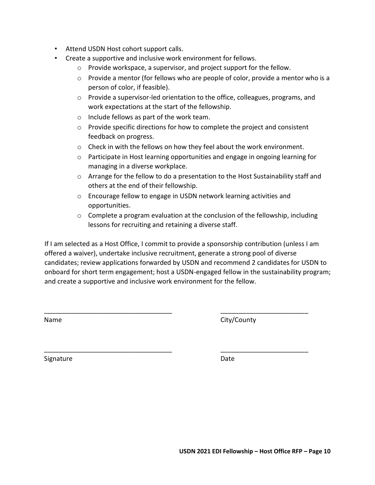- Attend USDN Host cohort support calls.
- Create a supportive and inclusive work environment for fellows.
	- o Provide workspace, a supervisor, and project support for the fellow.
	- $\circ$  Provide a mentor (for fellows who are people of color, provide a mentor who is a person of color, if feasible).
	- o Provide a supervisor-led orientation to the office, colleagues, programs, and work expectations at the start of the fellowship.
	- o Include fellows as part of the work team.
	- $\circ$  Provide specific directions for how to complete the project and consistent feedback on progress.
	- $\circ$  Check in with the fellows on how they feel about the work environment.
	- o Participate in Host learning opportunities and engage in ongoing learning for managing in a diverse workplace.
	- $\circ$  Arrange for the fellow to do a presentation to the Host Sustainability staff and others at the end of their fellowship.
	- o Encourage fellow to engage in USDN network learning activities and opportunities.
	- o Complete a program evaluation at the conclusion of the fellowship, including lessons for recruiting and retaining a diverse staff.

If I am selected as a Host Office, I commit to provide a sponsorship contribution (unless I am offered a waiver), undertake inclusive recruitment, generate a strong pool of diverse candidates; review applications forwarded by USDN and recommend 2 candidates for USDN to onboard for short term engagement; host a USDN-engaged fellow in the sustainability program; and create a supportive and inclusive work environment for the fellow.

\_\_\_\_\_\_\_\_\_\_\_\_\_\_\_\_\_\_\_\_\_\_\_\_\_\_\_\_\_\_\_\_\_\_\_ \_\_\_\_\_\_\_\_\_\_\_\_\_\_\_\_\_\_\_\_\_\_\_\_

\_\_\_\_\_\_\_\_\_\_\_\_\_\_\_\_\_\_\_\_\_\_\_\_\_\_\_\_\_\_\_\_\_\_\_ \_\_\_\_\_\_\_\_\_\_\_\_\_\_\_\_\_\_\_\_\_\_\_\_

Name City/County

Signature Date Date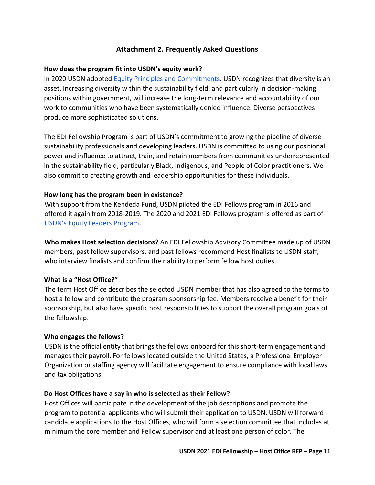## **Attachment 2. Frequently Asked Questions**

#### <span id="page-10-0"></span>**How does the program fit into USDN's equity work?**

In 2020 USDN adopte[d Equity Principles and Commitments.](https://www.usdn.org/members/focus-areas/3/usdn-equity-principles-and-commitments.html#/) USDN recognizes that diversity is an asset. Increasing diversity within the sustainability field, and particularly in decision-making positions within government, will increase the long-term relevance and accountability of our work to communities who have been systematically denied influence. Diverse perspectives produce more sophisticated solutions.

The EDI Fellowship Program is part of USDN's commitment to growing the pipeline of diverse sustainability professionals and developing leaders. USDN is committed to using our positional power and influence to attract, train, and retain members from communities underrepresented in the sustainability field, particularly Black, Indigenous, and People of Color practitioners. We also commit to creating growth and leadership opportunities for these individuals.

#### **How long has the program been in existence?**

With support from the Kendeda Fund, USDN piloted the EDI Fellows program in 2016 and offered it again from 2018-2019. The 2020 and 2021 EDI Fellows program is offered as part of [USDN's Equity Leaders Program](https://www.usdn.org/members/focus-areas/3/usdn-equity-leaders-program.html#/).

**Who makes Host selection decisions?** An EDI Fellowship Advisory Committee made up of USDN members, past fellow supervisors, and past fellows recommend Host finalists to USDN staff, who interview finalists and confirm their ability to perform fellow host duties.

#### **What is a "Host Office?"**

The term Host Office describes the selected USDN member that has also agreed to the terms to host a fellow and contribute the program sponsorship fee. Members receive a benefit for their sponsorship, but also have specific host responsibilities to support the overall program goals of the fellowship.

#### **Who engages the fellows?**

USDN is the official entity that brings the fellows onboard for this short-term engagement and manages their payroll. For fellows located outside the United States, a Professional Employer Organization or staffing agency will facilitate engagement to ensure compliance with local laws and tax obligations.

#### **Do Host Offices have a say in who is selected as their Fellow?**

Host Offices will participate in the development of the job descriptions and promote the program to potential applicants who will submit their application to USDN. USDN will forward candidate applications to the Host Offices, who will form a selection committee that includes at minimum the core member and Fellow supervisor and at least one person of color. The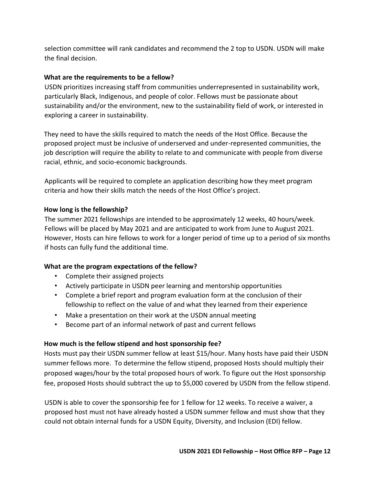selection committee will rank candidates and recommend the 2 top to USDN. USDN will make the final decision.

## **What are the requirements to be a fellow?**

USDN prioritizes increasing staff from communities underrepresented in sustainability work, particularly Black, Indigenous, and people of color. Fellows must be passionate about sustainability and/or the environment, new to the sustainability field of work, or interested in exploring a career in sustainability.

They need to have the skills required to match the needs of the Host Office. Because the proposed project must be inclusive of underserved and under-represented communities, the job description will require the ability to relate to and communicate with people from diverse racial, ethnic, and socio-economic backgrounds.

Applicants will be required to complete an application describing how they meet program criteria and how their skills match the needs of the Host Office's project.

#### **How long is the fellowship?**

The summer 2021 fellowships are intended to be approximately 12 weeks, 40 hours/week. Fellows will be placed by May 2021 and are anticipated to work from June to August 2021. However, Hosts can hire fellows to work for a longer period of time up to a period of six months if hosts can fully fund the additional time.

## **What are the program expectations of the fellow?**

- Complete their assigned projects
- Actively participate in USDN peer learning and mentorship opportunities
- Complete a brief report and program evaluation form at the conclusion of their fellowship to reflect on the value of and what they learned from their experience
- Make a presentation on their work at the USDN annual meeting
- Become part of an informal network of past and current fellows

#### **How much is the fellow stipend and host sponsorship fee?**

Hosts must pay their USDN summer fellow at least \$15/hour. Many hosts have paid their USDN summer fellows more. To determine the fellow stipend, proposed Hosts should multiply their proposed wages/hour by the total proposed hours of work. To figure out the Host sponsorship fee, proposed Hosts should subtract the up to \$5,000 covered by USDN from the fellow stipend.

USDN is able to cover the sponsorship fee for 1 fellow for 12 weeks. To receive a waiver, a proposed host must not have already hosted a USDN summer fellow and must show that they could not obtain internal funds for a USDN Equity, Diversity, and Inclusion (EDI) fellow.